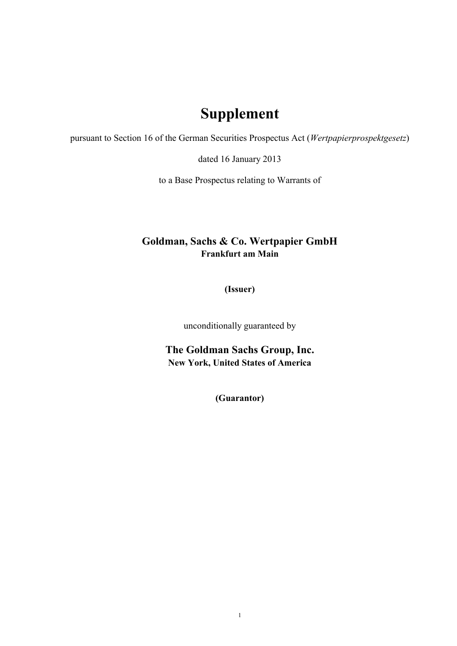## **Supplement**

pursuant to Section 16 of the German Securities Prospectus Act (*Wertpapierprospektgesetz*)

dated 16 January 2013

to a Base Prospectus relating to Warrants of

## **Goldman, Sachs & Co. Wertpapier GmbH Frankfurt am Main**

**(Issuer)**

unconditionally guaranteed by

**The Goldman Sachs Group, Inc. New York, United States of America**

**(Guarantor)**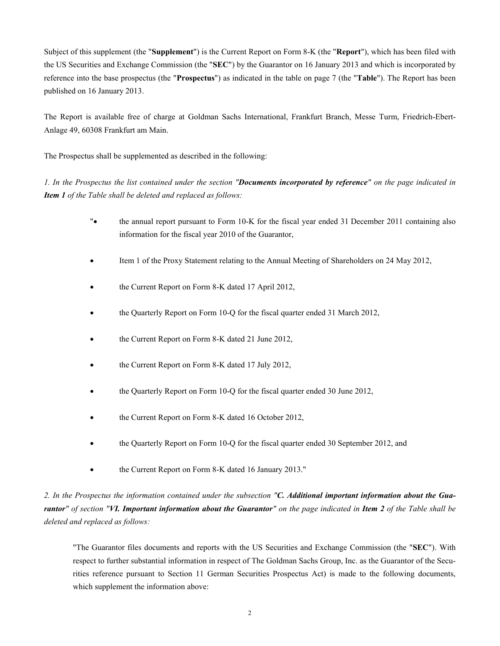Subject of this supplement (the "**Supplement**") is the Current Report on Form 8-K (the "**Report**"), which has been filed with the US Securities and Exchange Commission (the "**SEC**") by the Guarantor on 16 January 2013 and which is incorporated by reference into the base prospectus (the "**Prospectus**") as indicated in the table on page 7 (the "**Table**"). The Report has been published on 16 January 2013.

The Report is available free of charge at Goldman Sachs International, Frankfurt Branch, Messe Turm, Friedrich-Ebert-Anlage 49, 60308 Frankfurt am Main.

The Prospectus shall be supplemented as described in the following:

*1. In the Prospectus the list contained under the section "Documents incorporated by reference" on the page indicated in Item 1 of the Table shall be deleted and replaced as follows:*

- "• the annual report pursuant to Form 10-K for the fiscal year ended 31 December 2011 containing also information for the fiscal year 2010 of the Guarantor,
- Item 1 of the Proxy Statement relating to the Annual Meeting of Shareholders on 24 May 2012,
- the Current Report on Form 8-K dated 17 April 2012,
- the Quarterly Report on Form 10-Q for the fiscal quarter ended 31 March 2012,
- the Current Report on Form 8-K dated 21 June 2012,
- the Current Report on Form 8-K dated 17 July 2012,
- the Quarterly Report on Form 10-Q for the fiscal quarter ended 30 June 2012,
- the Current Report on Form 8-K dated 16 October 2012,
- the Quarterly Report on Form 10-Q for the fiscal quarter ended 30 September 2012, and
- the Current Report on Form 8-K dated 16 January 2013."

*2. In the Prospectus the information contained under the subsection "C. Additional important information about the Guarantor" of section "VI. Important information about the Guarantor" on the page indicated in Item 2 of the Table shall be deleted and replaced as follows:*

"The Guarantor files documents and reports with the US Securities and Exchange Commission (the "**SEC**"). With respect to further substantial information in respect of The Goldman Sachs Group, Inc. as the Guarantor of the Securities reference pursuant to Section 11 German Securities Prospectus Act) is made to the following documents, which supplement the information above: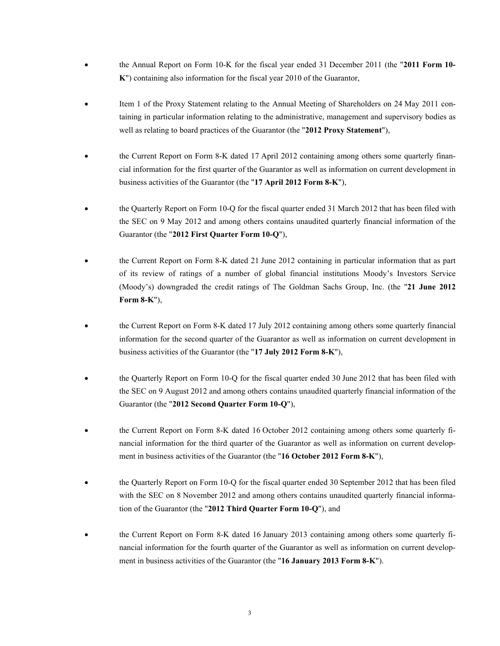- the Annual Report on Form 10-K for the fiscal year ended 31 December 2011 (the "**2011 Form 10- K**") containing also information for the fiscal year 2010 of the Guarantor,
- Item 1 of the Proxy Statement relating to the Annual Meeting of Shareholders on 24 May 2011 containing in particular information relating to the administrative, management and supervisory bodies as well as relating to board practices of the Guarantor (the "**2012 Proxy Statement**"),
- the Current Report on Form 8-K dated 17 April 2012 containing among others some quarterly financial information for the first quarter of the Guarantor as well as information on current development in business activities of the Guarantor (the "**17 April 2012 Form 8-K**"),
- the Quarterly Report on Form 10-Q for the fiscal quarter ended 31 March 2012 that has been filed with the SEC on 9 May 2012 and among others contains unaudited quarterly financial information of the Guarantor (the "**2012 First Quarter Form 10-Q**"),
- the Current Report on Form 8-K dated 21 June 2012 containing in particular information that as part of its review of ratings of a number of global financial institutions Moody's Investors Service (Moody's) downgraded the credit ratings of The Goldman Sachs Group, Inc. (the "**21 June 2012 Form 8-K**"),
- the Current Report on Form 8-K dated 17 July 2012 containing among others some quarterly financial information for the second quarter of the Guarantor as well as information on current development in business activities of the Guarantor (the "**17 July 2012 Form 8-K**"),
- the Quarterly Report on Form 10-Q for the fiscal quarter ended 30 June 2012 that has been filed with the SEC on 9 August 2012 and among others contains unaudited quarterly financial information of the Guarantor (the "**2012 Second Quarter Form 10-Q**"),
- the Current Report on Form 8-K dated 16 October 2012 containing among others some quarterly financial information for the third quarter of the Guarantor as well as information on current development in business activities of the Guarantor (the "**16 October 2012 Form 8-K**"),
- the Quarterly Report on Form 10-Q for the fiscal quarter ended 30 September 2012 that has been filed with the SEC on 8 November 2012 and among others contains unaudited quarterly financial information of the Guarantor (the "**2012 Third Quarter Form 10-Q**"), and
- the Current Report on Form 8-K dated 16 January 2013 containing among others some quarterly financial information for the fourth quarter of the Guarantor as well as information on current development in business activities of the Guarantor (the "**16 January 2013 Form 8-K**").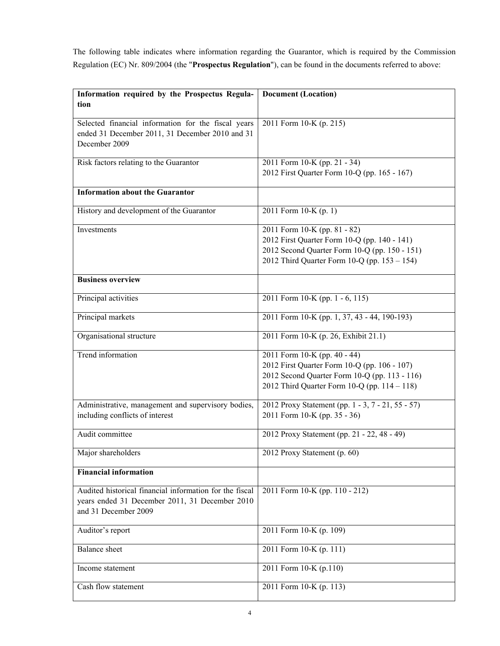The following table indicates where information regarding the Guarantor, which is required by the Commission Regulation (EC) Nr. 809/2004 (the "**Prospectus Regulation**"), can be found in the documents referred to above:

| Information required by the Prospectus Regula-                                                                          | <b>Document (Location)</b>                        |  |  |
|-------------------------------------------------------------------------------------------------------------------------|---------------------------------------------------|--|--|
| tion                                                                                                                    |                                                   |  |  |
| Selected financial information for the fiscal years<br>ended 31 December 2011, 31 December 2010 and 31<br>December 2009 | 2011 Form 10-K (p. 215)                           |  |  |
| Risk factors relating to the Guarantor                                                                                  | 2011 Form 10-K (pp. 21 - 34)                      |  |  |
|                                                                                                                         | 2012 First Quarter Form 10-Q (pp. 165 - 167)      |  |  |
| <b>Information about the Guarantor</b>                                                                                  |                                                   |  |  |
| History and development of the Guarantor                                                                                | 2011 Form 10-K (p. 1)                             |  |  |
| Investments                                                                                                             | 2011 Form 10-K (pp. 81 - 82)                      |  |  |
|                                                                                                                         | 2012 First Quarter Form 10-Q (pp. 140 - 141)      |  |  |
|                                                                                                                         | 2012 Second Quarter Form 10-Q (pp. 150 - 151)     |  |  |
|                                                                                                                         | 2012 Third Quarter Form 10-Q (pp. 153 - 154)      |  |  |
| <b>Business overview</b>                                                                                                |                                                   |  |  |
| Principal activities                                                                                                    | 2011 Form 10-K (pp. 1 - 6, 115)                   |  |  |
| Principal markets                                                                                                       | 2011 Form 10-K (pp. 1, 37, 43 - 44, 190-193)      |  |  |
| Organisational structure                                                                                                | 2011 Form 10-K (p. 26, Exhibit 21.1)              |  |  |
| <b>Trend</b> information                                                                                                | 2011 Form 10-K (pp. 40 - 44)                      |  |  |
|                                                                                                                         | 2012 First Quarter Form 10-Q (pp. 106 - 107)      |  |  |
|                                                                                                                         | 2012 Second Quarter Form 10-Q (pp. 113 - 116)     |  |  |
|                                                                                                                         | 2012 Third Quarter Form 10-Q (pp. $114 - 118$ )   |  |  |
| Administrative, management and supervisory bodies,                                                                      | 2012 Proxy Statement (pp. 1 - 3, 7 - 21, 55 - 57) |  |  |
| including conflicts of interest                                                                                         | 2011 Form 10-K (pp. 35 - 36)                      |  |  |
| Audit committee                                                                                                         | 2012 Proxy Statement (pp. 21 - 22, 48 - 49)       |  |  |
| Major shareholders                                                                                                      | 2012 Proxy Statement (p. 60)                      |  |  |
| <b>Financial information</b>                                                                                            |                                                   |  |  |
| Audited historical financial information for the fiscal                                                                 | 2011 Form 10-K (pp. 110 - 212)                    |  |  |
| years ended 31 December 2011, 31 December 2010                                                                          |                                                   |  |  |
| and 31 December 2009                                                                                                    |                                                   |  |  |
| Auditor's report                                                                                                        | 2011 Form 10-K (p. 109)                           |  |  |
| <b>Balance</b> sheet                                                                                                    | 2011 Form 10-K (p. 111)                           |  |  |
| Income statement                                                                                                        | 2011 Form 10-K (p.110)                            |  |  |
| Cash flow statement                                                                                                     | 2011 Form 10-K (p. 113)                           |  |  |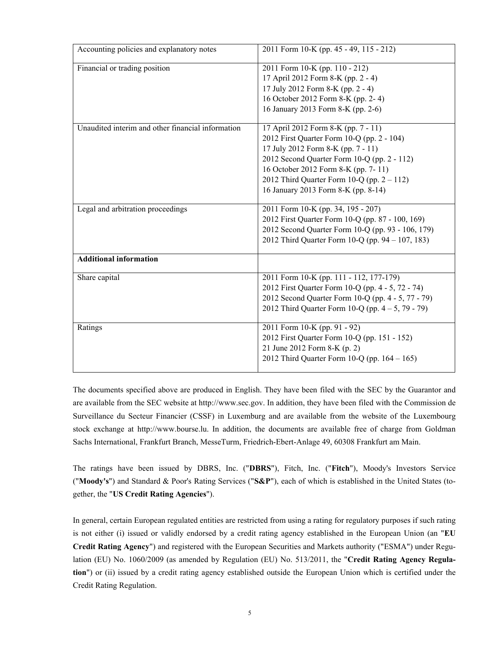| Accounting policies and explanatory notes         | 2011 Form 10-K (pp. 45 - 49, 115 - 212)                                                                                                                                                                                                                                                               |
|---------------------------------------------------|-------------------------------------------------------------------------------------------------------------------------------------------------------------------------------------------------------------------------------------------------------------------------------------------------------|
| Financial or trading position                     | 2011 Form 10-K (pp. 110 - 212)<br>17 April 2012 Form 8-K (pp. 2 - 4)<br>17 July 2012 Form 8-K (pp. 2 - 4)<br>16 October 2012 Form 8-K (pp. 2-4)<br>16 January 2013 Form 8-K (pp. 2-6)                                                                                                                 |
| Unaudited interim and other financial information | 17 April 2012 Form 8-K (pp. 7 - 11)<br>2012 First Quarter Form 10-Q (pp. 2 - 104)<br>17 July 2012 Form 8-K (pp. 7 - 11)<br>2012 Second Quarter Form 10-Q (pp. 2 - 112)<br>16 October 2012 Form 8-K (pp. 7-11)<br>2012 Third Quarter Form 10-Q (pp. $2 - 112$ )<br>16 January 2013 Form 8-K (pp. 8-14) |
| Legal and arbitration proceedings                 | 2011 Form 10-K (pp. 34, 195 - 207)<br>2012 First Quarter Form 10-Q (pp. 87 - 100, 169)<br>2012 Second Quarter Form 10-Q (pp. 93 - 106, 179)<br>2012 Third Quarter Form 10-Q (pp. 94 – 107, 183)                                                                                                       |
| <b>Additional information</b>                     |                                                                                                                                                                                                                                                                                                       |
| Share capital                                     | 2011 Form 10-K (pp. 111 - 112, 177-179)<br>2012 First Quarter Form 10-Q (pp. 4 - 5, 72 - 74)<br>2012 Second Quarter Form 10-Q (pp. 4 - 5, 77 - 79)<br>2012 Third Quarter Form 10-Q (pp. $4 - 5$ , 79 - 79)                                                                                            |
| Ratings                                           | 2011 Form 10-K (pp. 91 - 92)<br>2012 First Quarter Form 10-Q (pp. 151 - 152)<br>21 June 2012 Form 8-K (p. 2)<br>2012 Third Quarter Form 10-Q (pp. $164 - 165$ )                                                                                                                                       |

The documents specified above are produced in English. They have been filed with the SEC by the Guarantor and are available from the SEC website at http://www.sec.gov. In addition, they have been filed with the Commission de Surveillance du Secteur Financier (CSSF) in Luxemburg and are available from the website of the Luxembourg stock exchange at http://www.bourse.lu. In addition, the documents are available free of charge from Goldman Sachs International, Frankfurt Branch, MesseTurm, Friedrich-Ebert-Anlage 49, 60308 Frankfurt am Main.

The ratings have been issued by DBRS, Inc. ("**DBRS**"), Fitch, Inc. ("**Fitch**"), Moody's Investors Service ("**Moody's**") and Standard & Poor's Rating Services ("**S&P**"), each of which is established in the United States (together, the "**US Credit Rating Agencies**").

In general, certain European regulated entities are restricted from using a rating for regulatory purposes if such rating is not either (i) issued or validly endorsed by a credit rating agency established in the European Union (an "**EU Credit Rating Agency**") and registered with the European Securities and Markets authority ("ESMA") under Regulation (EU) No. 1060/2009 (as amended by Regulation (EU) No. 513/2011, the "**Credit Rating Agency Regulation**") or (ii) issued by a credit rating agency established outside the European Union which is certified under the Credit Rating Regulation.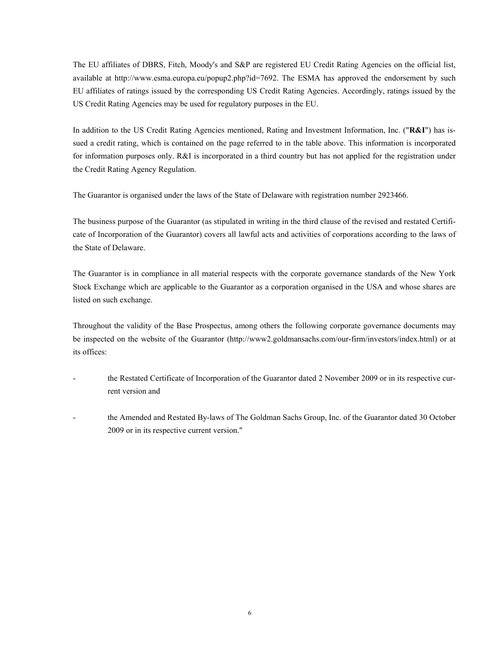The EU affiliates of DBRS, Fitch, Moody's and S&P are registered EU Credit Rating Agencies on the official list, available at [http://www.esma.europa.eu/popup2.php?id=7692.](http://www.esma.europa.eu/popup2.php?id=7692) The ESMA has approved the endorsement by such EU affiliates of ratings issued by the corresponding US Credit Rating Agencies. Accordingly, ratings issued by the US Credit Rating Agencies may be used for regulatory purposes in the EU.

In addition to the US Credit Rating Agencies mentioned, Rating and Investment Information, Inc. ("**R&I**") has issued a credit rating, which is contained on the page referred to in the table above. This information is incorporated for information purposes only. R&I is incorporated in a third country but has not applied for the registration under the Credit Rating Agency Regulation.

The Guarantor is organised under the laws of the State of Delaware with registration number 2923466.

The business purpose of the Guarantor (as stipulated in writing in the third clause of the revised and restated Certificate of Incorporation of the Guarantor) covers all lawful acts and activities of corporations according to the laws of the State of Delaware.

The Guarantor is in compliance in all material respects with the corporate governance standards of the New York Stock Exchange which are applicable to the Guarantor as a corporation organised in the USA and whose shares are listed on such exchange.

Throughout the validity of the Base Prospectus, among others the following corporate governance documents may be inspected on the website of the Guarantor (http://www2.goldmansachs.com/our-firm/investors/index.html) or at its offices:

- the Restated Certificate of Incorporation of the Guarantor dated 2 November 2009 or in its respective current version and
- the Amended and Restated By-laws of The Goldman Sachs Group, Inc. of the Guarantor dated 30 October 2009 or in its respective current version."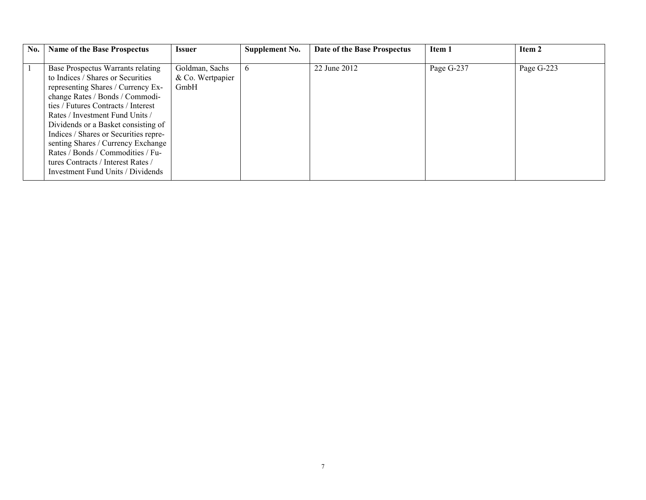| No. | <b>Name of the Base Prospectus</b>                                                                                                                                                                                                                                                                                                                                                                                                                              | <b>Issuer</b>                              | Supplement No. | Date of the Base Prospectus | Item 1     | Item 2     |
|-----|-----------------------------------------------------------------------------------------------------------------------------------------------------------------------------------------------------------------------------------------------------------------------------------------------------------------------------------------------------------------------------------------------------------------------------------------------------------------|--------------------------------------------|----------------|-----------------------------|------------|------------|
|     | Base Prospectus Warrants relating<br>to Indices / Shares or Securities<br>representing Shares / Currency Ex-<br>change Rates / Bonds / Commodi-<br>ties / Futures Contracts / Interest<br>Rates / Investment Fund Units /<br>Dividends or a Basket consisting of<br>Indices / Shares or Securities repre-<br>senting Shares / Currency Exchange<br>Rates / Bonds / Commodities / Fu-<br>tures Contracts / Interest Rates /<br>Investment Fund Units / Dividends | Goldman, Sachs<br>& Co. Wertpapier<br>GmbH | $\mathfrak{b}$ | 22 June 2012                | Page G-237 | Page G-223 |